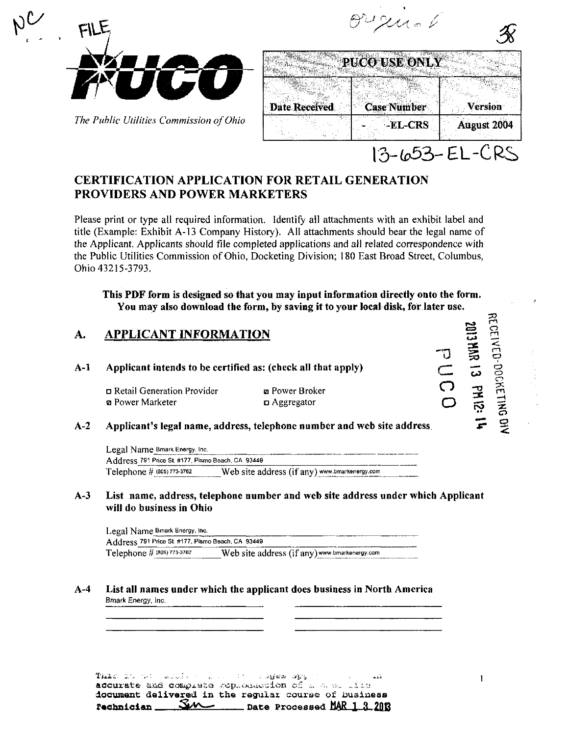

 $\mathcal{L}$ 

The Public Utilities Commission of Ohio

|                      |  | PUCO USE ONLY      |             |
|----------------------|--|--------------------|-------------|
| <b>Date Received</b> |  | <b>Case Number</b> | Version     |
|                      |  | -EL-CRS            | August 2004 |

 $\theta$ u umal

# CERTIFICATION APPLICATION FOR RETAIL GENERATION PROVIDERS AND POWER MARKETERS

Please print or type all required information. Identify all attachments with an exhibit label and title (Example: Exhibit A-13 Company History). All attachments should bear the legal name of the Applicant. Applicants should file completed applications and all related correspondence with the Public Utilities Commission of Ohio, Docketing Division; 180 East Broad Street, Columbus, Ohio 43215-3793.

This PDF form is designed so that you may input information directly onto the form. You may also download the form, by saving it to your local disk, for later use.

#### $\mathbf{A}$ . APPLICANT INFORMATION

# A-l Applicant intends to be certified as: (check all that apply)

a Retail Generation Provider a Power Marketer

• Power Broker a Aggregator

#### A-2 Applicant's legal name, address, telephone number and web site address

Legal Name Bmark Energy. Inc. Address 791 Price St. #177, Pismo Beach, CA 93449 Telephone  $#$  (805) 773-3762 Web site address (if any) www.bmarkenergy.com

# A-3 List name, address, telephone number and web site address under which Applicant will do business in Ohio

| Legal Name Bmark Energy, Inc.                     |                                               |  |  |  |
|---------------------------------------------------|-----------------------------------------------|--|--|--|
| Address 791 Price St. #177, Pismo Beach, CA 93449 |                                               |  |  |  |
| Telephone # (805) 773-3762                        | Web site address (if any) www.bmarkenergy.com |  |  |  |

# A-4 List all names under which the applicant does business in North America Bmark Energy, Inc.

This is no easist in a coitting and ... document delivered in the regular course of Dusiness rechnician  $\underline{\vee\vee\cdots}$  Date Processed MAR 1.3.2013  $\overline{\Omega}$ o 22

 $\div$ 

m

 $\zeta$  $\Xi$ 

— <u>— T</u>  $\ddot{\phantom{1}}$ sr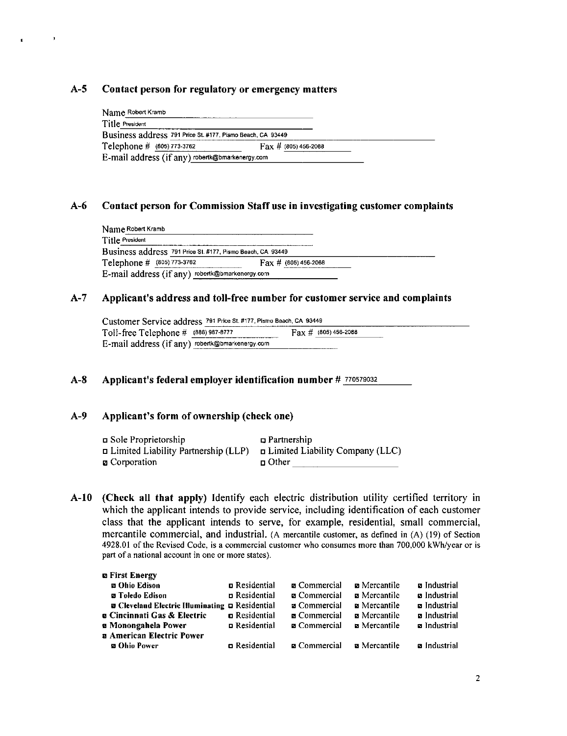# A-5 Contact person for regulatory or emergency matters

 $\rightarrow$ 

| Name Robert Kramb                                          |                                  |  |
|------------------------------------------------------------|----------------------------------|--|
| Title President                                            |                                  |  |
| Business address 791 Price St. #177, Pismo Beach, CA 93449 |                                  |  |
| Telephone # (805) 773-3762                                 | $\text{Fax} \# (805) 456 - 2088$ |  |
| E-mail address (if any) robertk@bmarkenergy.com            |                                  |  |

# A-6 Contact person for Commission Staff use in investigating customer complaints

| Name Robert Kramb                                          |                                 |
|------------------------------------------------------------|---------------------------------|
| Title President                                            |                                 |
| Business address 791 Price St. #177, Pismo Beach, CA 93449 |                                 |
| Telephone # (805) 773-3762                                 | $\text{Fax} \neq (805)456-2088$ |
| E-mail address (if any) robertk@bmarkenergy.com            |                                 |

#### A-7 Applicant's address and toll-free number for customer service and complaints

| Customer Service address 791 Price St. #177, Pismo Beach, CA 93449 |                                 |  |  |  |
|--------------------------------------------------------------------|---------------------------------|--|--|--|
| Toll-free Telephone $\#$ (888) 987-8777                            | $\text{Fay } \#$ (805) 456-2088 |  |  |  |
| E-mail address (if any) robertk@bmarkenergy.com                    |                                 |  |  |  |

## A-8 Applicant's federal employer identification number # 770579032

## A-9 Applicant's form of ownership (check one)

| ם Sole Proprietorship                      | $\Box$ Partnership                     |
|--------------------------------------------|----------------------------------------|
| $\Box$ Limited Liability Partnership (LLP) | $\Box$ Limited Liability Company (LLC) |
| <b><i>□</i></b> Corporation                | $\Box$ Other                           |

A-10 (Check all that apply) Identify each electric distribution utility certified territory in which the applicant intends to provide service, including identification of each customer class that the applicant intends to serve, for example, residential, small commercial, mercantile commercial, and industrial. (A mercantile customer, as defined in (A) (19) of Section 4928.01 of the Revised Code, is a commercial customer who consumes more than 700,000 kWh/year or is part of a national account in one or more states).

| <b>n</b> First Energy                                         |                      |                     |                     |                     |
|---------------------------------------------------------------|----------------------|---------------------|---------------------|---------------------|
| <b>El Ohio Edison</b>                                         | <b>n</b> Residential | <b>a</b> Commercial | <b>a</b> Mercantile | <b>a</b> Industrial |
| <b>za</b> Toledo Edison                                       | <b>n</b> Residential | <b>a</b> Commercial | <b>a</b> Mercantile | <b>a</b> Industrial |
| <b>z</b> Cleveland Electric Illuminating <b>D</b> Residential |                      | <b>a</b> Commercial | <b>a</b> Mercantile | <b>a</b> Industrial |
| <b>a Cincinnati Gas &amp; Electric</b>                        | <b>n</b> Residential | <b>E</b> Commercial | <b>a</b> Mercantile | <b>n</b> Industrial |
| <b>a Monongahela Power</b>                                    | Residential          | <b>a</b> Commercial | <b>E</b> Mercantile | a Industrial        |
| <b>a American Electric Power</b>                              |                      |                     |                     |                     |
| <b>20 Ohio Power</b>                                          | <b>n</b> Residential | <b>a</b> Commercial | <b>a</b> Mercantile | a Industrial        |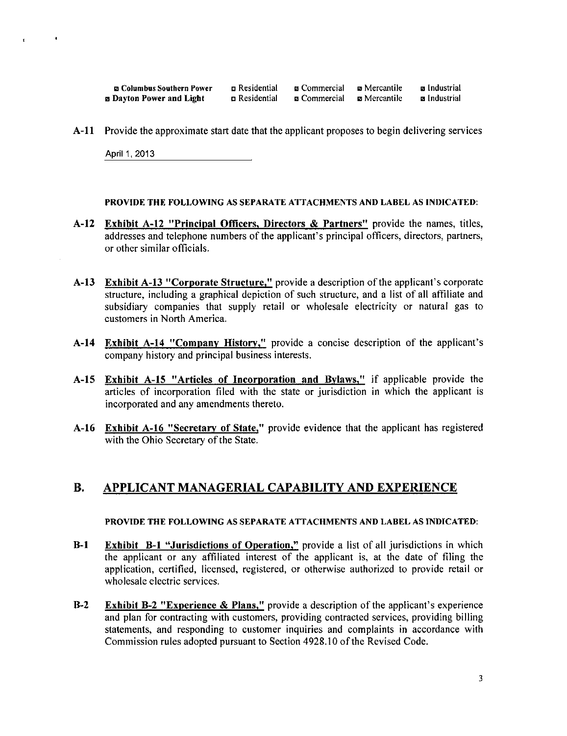| <b>En Columbus Southern Power</b> | n Residential | <b>u</b> Commercial | <b>p</b> Mercantile | <b>a</b> Industrial |
|-----------------------------------|---------------|---------------------|---------------------|---------------------|
| <b>B</b> Dayton Power and Light   | n Residential | <b>n</b> Commercial | <b>⊠</b> Mercantile | <b>a</b> Industrial |

A-11 Provide the approximate start date that the applicant proposes to begin delivering services

April 1,2013

 $\bullet$ 

 $\epsilon$ 

PROVIDE THE FOLLOWING AS SEPARATE ATTACHMENTS AND LABEL AS INDICATED:

- A-12 Exhibit A-12 "Principal Officers, Directors & Partners" provide the names, titles, addresses and telephone numbers of the applicant's principal officers, directors, partners, or other similar officials.
- A-13 Exhibit A-13 "Corporate Structure," provide a description of the applicant's corporate structure, including a graphical depiction of such structure, and a list of all affiliate and subsidiary companies that supply retail or wholesale electricity or natural gas to customers in North America.
- A-14 Exhibit A-14 "Company History," provide a concise description of the applicant's company history and principal business interests.
- A-15 Exhibit A-15 "Articles of Incorporation and Bylaws," if applicable provide the articles of incorporation filed with the state or jurisdiction in which the applicant is incorporated and any amendments thereto.
- A-16 Exhibit A-16 "Secretary of State," provide evidence that the applicant has registered with the Ohio Secretary of the State.

# B. APPLICANT MANAGERIAL CAPABILITY AND EXPERIENCE

#### PROVIDE THE FOLLOWING AS SEPARATE ATTACHMENTS AND LABEL AS INDICATED:

- B-1 Exhibit B-1 "Jurisdictions of Operation," provide a list of all jurisdictions in which the applicant or any affiliated interest of the applicant is, at the date of filing the application, certified, licensed, registered, or otherwise authorized to provide retail or wholesale electric services.
- B-2 Exhibit B-2 "Experience & Plans," provide a description of the applicant's experience and plan for contracting with customers, providing contracted services, providing billing statements, and responding to customer inquiries and complaints in accordance with Commission rules adopted pursuant to Section 4928.10 of the Revised Code.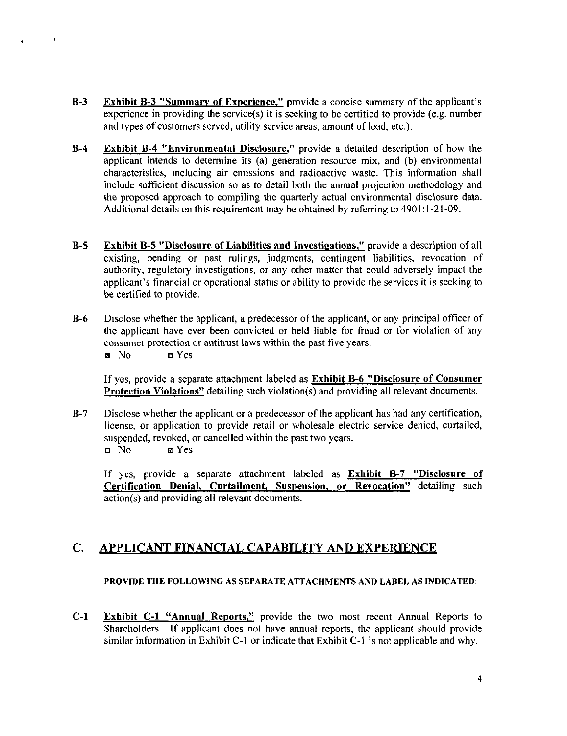- B-3 Exhibit B-3 "Summary of Experience," provide a concise summary of the applicant's experience in providing the service(s) it is seeking to be certified to provide (e.g. number and types of customers served, utility service areas, amount of load, etc.).
- B-4 Exhibit B-4 "Environmental Disclosure," provide a detailed description of how the applicant intends to determine its (a) generation resource mix, and (b) environmental characteristics, including air emissions and radioactive waste. This information shall include sufficient discussion so as to detail both the annual projection methodology and the proposed approach to compiling the quarterly actual environmental disclosure data. Additional details on this requirement may be obtained by referring to 4901:1-21-09.
- B-5 Exhibit B-5 "Disclosure of Liabilities and Investigations," provide a description of all existing, pending or past rulings, judgments, contingent liabilities, revocation of authority, regulatory investigations, or any other matter that could adversely impact the applicant's financial or operational status or ability to provide the services it is seeking to be certified to provide.
- B-6 Disclose whether the applicant, a predecessor ofthe applicant, or any principal officer of the applicant have ever been convicted or held liable for fraud or for violation of any consumer protection or antitrust laws within the past five years.
	- n No Yes

 $\ddot{\phantom{1}}$ 

If yes, provide a separate attachment labeled as **Exhibit B-6 "Disclosure of Consumer** Protection Violations" detailing such violation(s) and providing all relevant documents.

B-7 Disclose whether the applicant or a predecessor of the applicant has had any certification, license, or application to provide retail or wholesale electric service denied, curtailed, suspended, revoked, or cancelled within the past two years, n No izi Yes

If yes, provide a separate attachment labeled as Exhibit B-7 "Disclosure of Certification Denial, Curtailment, Suspension, or Revocation" detailing such action(s) and providing all relevant documents.

#### $C_{\bullet}$ APPLICANT FINANCIAL CAPABILITY AND EXPERIENCE

# PROVIDE THE FOLLOWING AS SEPARATE ATTACHMENTS AND LABEL AS INDICATED:

C-1 Exhibit C-1 "Annual Reports," provide the two most recent Annual Reports to Shareholders. If applicant does not have annual reports, the applicant should provide similar information in Exhibit C-l or indicate that Exhibit C-l is not applicable and why.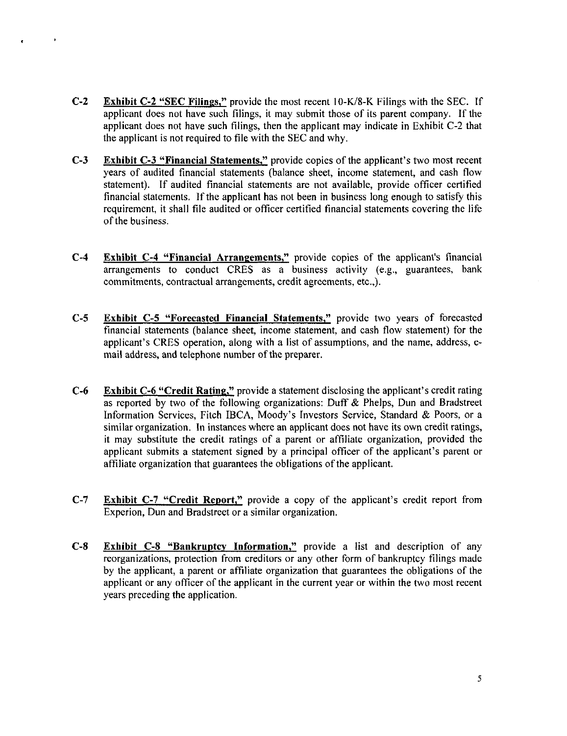- c-2 Exhibit C-2 "SEC Filings," provide the most recent 10-K/8-K Filings with the SEC. If applicant does not have such filings, it may submit those of its parent company. If the applicant does not have such filings, then the applicant may indicate in Exhibit C-2 that the applicant is not required to file with the SEC and why.
- C-3 Exhibit C-3 "Financial Statements," provide copies of the applicant's two most recent years of audited financial statements (balance sheet, income statement, and cash flow statement). If audited financial statements are not available, provide officer certified financial statements. If the applicant has not been in business long enough to satisfy this requirement, it shall file audited or officer certified financial statements covering the life of the business.
- C-4 Exhibit C-4 "Financial Arrangements," provide copies of the applicant's financial arrangements to conduct CRES as a business activity (e.g., guarantees, bank commitments, contractual arrangements, credit agreements, etc.,).
- C-5 Exhibit C-5 "Forecasted Financial Statements," provide two years of forecasted financial statements (balance sheet, income statement, and cash flow statement) for the applicant's CRES operation, along with a list of assumptions, and the name, address, email address, and telephone number of the preparer.
- C-6 Exhibit C-6 "Credit Rating," provide a statement disclosing the applicant's credit rating as reported by two of the following organizations: Duff & Phelps, Dun and Bradstreet Information Services, Fitch IBCA, Moody's Investors Service, Standard & Poors, or a similar organization. In instances where an applicant does not have its own credit ratings, it may substitute the credit ratings of a parent or affiliate organization, provided the applicant submits a statement signed by a principal officer of the applicant's parent or affiliate organization that guarantees the obligations of the applicant.
- C-7 Exhibit C-7 "Credit Report," provide a copy of the applicant's credit report from Experion, Dun and Bradstreet or a similar organization.
- C-8 Exhibit C-8 "Bankruptcy Information," provide a list and description of any reorganizations, protection from creditors or any other form of bankruptcy filings made by the applicant, a parent or affiliate organization that guarantees the obligations of the applicant or any officer of the applicant in the current year or within the two most recent years preceding the application.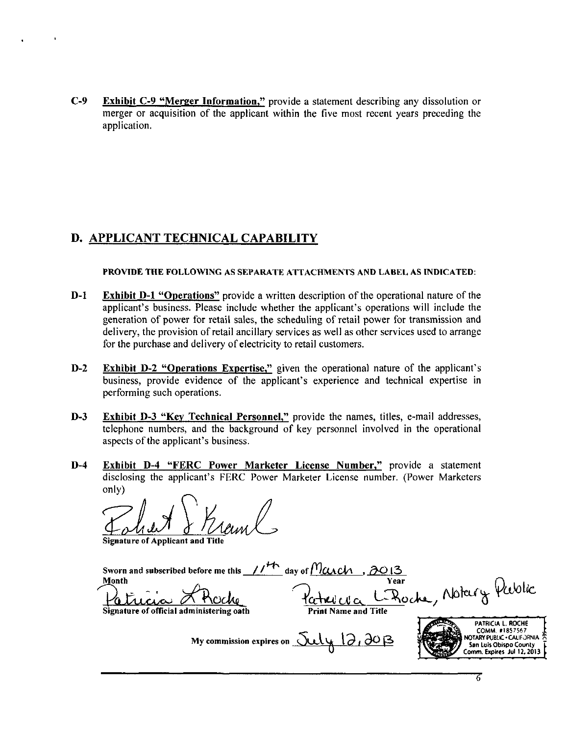C-9 Exhibit C-9 "Merger Information," provide a statement describing any dissolution or merger or acquisition of the applicant within the five most recent years preceding the application.

# D. APPLICANT TECHNICAL CAPABILITY

PROVIDE THE FOLLOWING AS SEPARATE ATTACHMENTS AND LABEL AS INDICATED;

- D-1 Exhibit D-1 "Operations" provide a written description of the operational nature of the applicant's business. Please include whether the applicant's operations will include the generation of power for retail sales, the scheduling of retail power for transmission and delivery, the provision of retail ancillary services as well as other services used to arrange for the purchase and delivery of electricity to retail customers.
- D-2 Exhibit D-2 "Operations Expertise," given the operational nature of the applicant's business, provide evidence of the applicant's experience and technical expertise in performing such operations.
- D-3 Exhibit D-3 "Key Technical Personnel," provide the names, titles, e-mail addresses, telephone numbers, and the background of key personnel involved in the operational aspects of the applicant's business.
- D-4 Exhibit D-4 "FERC Power Marketer License Number," provide a statement disclosing the applicant's FERC Power Marketer License number. (Power Marketers only)

Signature of Applicant and

Sworn and subscribed before me this  $\frac{1}{4}$  day of  $M$  *CAC* $\tau$ , 30  $\sim$  Year 1 Print Name and Title PATRICIA L. ROCHE |  $M = \frac{1}{2}$  COMM.  $\epsilon$ 1857567  $\frac{1}{2}$ Month Signature of official administering oath Yublic.

My commission expires on  $\sqrt{\mathsf{U}\mathsf{U}}\sqrt{2,}\partial$ O  $\beta$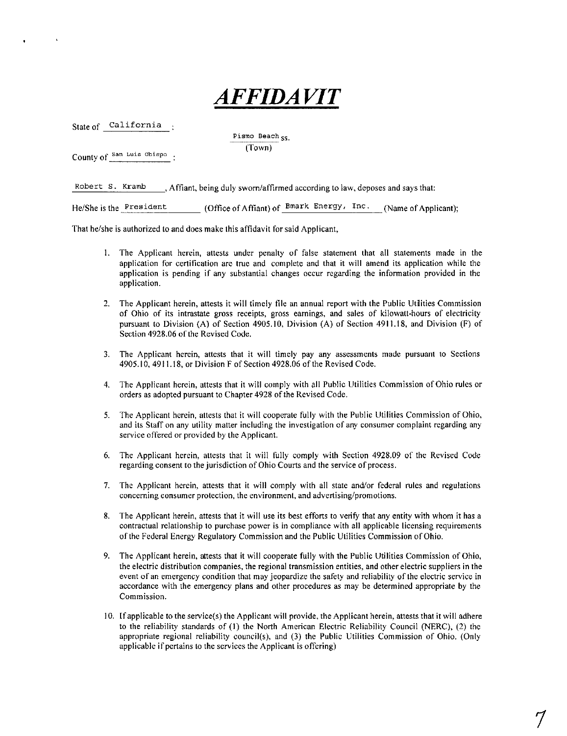# AFFIDAVIT

State of California

Pismo Beach SS. (Town)

County of San Luis Obispo

Robert S. Kramb Affiant, being duly sworn/affirmed according to law, deposes and says that:

He/She is the President (Office of Affiant) of  $Bmark$  Energy, Inc. (Name of Applicant);

That he/she is authorized to and does make this affidavit for said Applicant,

- 1. The Applicant herein, attests under penalty of false statement that all statements made in the application for certification are true and complete and that it will amend its application while the application is pending if any substantial changes occur regarding the information provided in the application.
- 2. The Applicant herein, attests it will timely file an annual report with the Public Utilities Commission of Ohio of its intrastate gross receipts, gross earnings, and sales of kilowatt-hours of electricity pursuant to Division (A) of Section 4905,10, Division (A) of Section 4911.18, and Division (F) of Section 4928.06 of the Revised Code.
- 3. The Applicant herein, attests that it will timely pay any assessments made pursuant to Sections 4905.10, 4911.18, or Division F of Section 4928.06 of the Revised Code.
- 4. The Applicant herein, attests that it will comply with all Public Utilities Commission of Ohio rules or orders as adopted pursuant to Chapter 4928 of the Revised Code.
- 5. The Applicant herein, attests that it will cooperate fully with the Public Utilities Commission of Ohio, and its Staff on any utility matter including the investigation of any consumer complaint regarding any service offered or provided by the Applicant.
- 6. The Applicant herein, attests that it will fully comply with Section 4928.09 of the Revised Code regarding consent to the jurisdiction of Ohio Courts and the service of process.
- 7. The Applicant herein, attests that it will comply with all state and/or federal rules and regulations concerning consumer protection, the environment, and advertising/promotions.
- 8. The Applicant herein, attests that it will use its best efforts to verify that any entity with whom it has a contractual relationship to purchase power is in compliance with all applicable licensing requirements ofthe Federal Energy Regulatory Commission and the Public Utilities Commission of Ohio.
- 9. The Applicant herein, attests that it will cooperate fully with the Public Utilities Commission of Ohio, the electric distribution companies, the regional transmission entities, and other electric suppliers in the event of an emergency condition that may jeopardize the safety and reliability of the electric service in accordance with the emergency plans and other procedures as may be determined appropriate by the Commission.
- 10. If applicable to the service(s) the Applicant will provide, the Applicant herein, attests that it will adhere to the reliability standards of (1) the North American Electric Reliability Council (NERC), (2) the appropriate regional reliability council(s), and (3) the Public Utilities Commission of Ohio. (Only applicable if pertains to the services the Applicant is offering)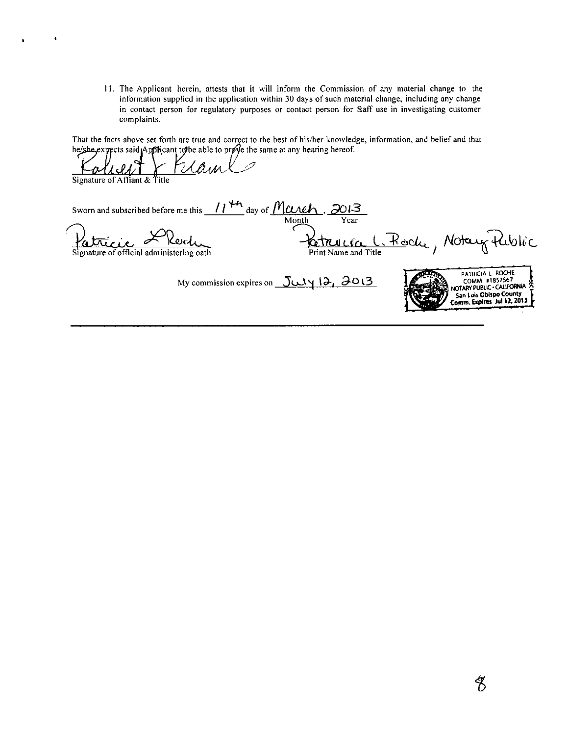11. The Applicant herein, attests that it will inform the Commission of any material change to the information supplied in the application within 30 days of such material change, including any change in contact person for regulatory purposes or contact person for Saff use in investigating customer complaints.

That the facts above set forth are true and correct to the best of his/her knowledge, information, and belief and that he/she.expects said Applycant to be able to prove the same at any hearing hereof.

2XAi4A.JC^'^''  $\frac{1-\alpha\lambda\lambda}{\text{Signature of Affiant & Title}}$ Sworn and subscribed before me this  $\frac{11}{10}$  day of  $\frac{11}{201}$ ,  $\frac{3013}{101}$ Month Year Fatricie Herche du Patricie de Modeur Public led PATRICIA L. ROCHE<br>COMM. #1857567 My commission expires on  $J\cup N$  19, 90 13 Journal of Notary PUBLIC' COMM. #1857567  $\overline{7}$  San Luis Obispo County

 $\frac{2013}{s}$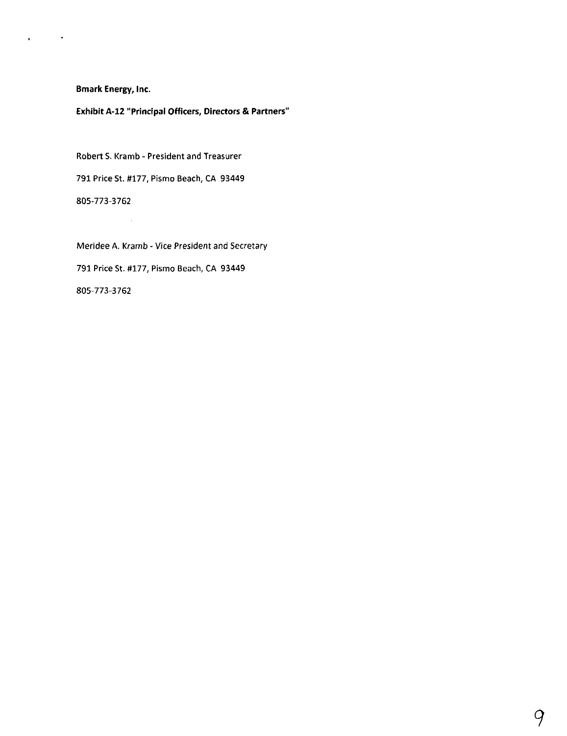$\mathcal{L}_{\text{max}}$  and  $\mathcal{L}_{\text{max}}$ 

 $\mathbf{r}$ 

Exhibit A-12 "Principal Officers, Directors & Partners"

Robert S. Kramb - President and Treasurer 791 Price St. #177, Pismo Beach, CA 93449 805-773-3762

 $\sim 10$ 

Meridee A. Kramb - Vice President and Secretary 791 Price St. #177, Pismo Beach, CA 93449 805-773-3762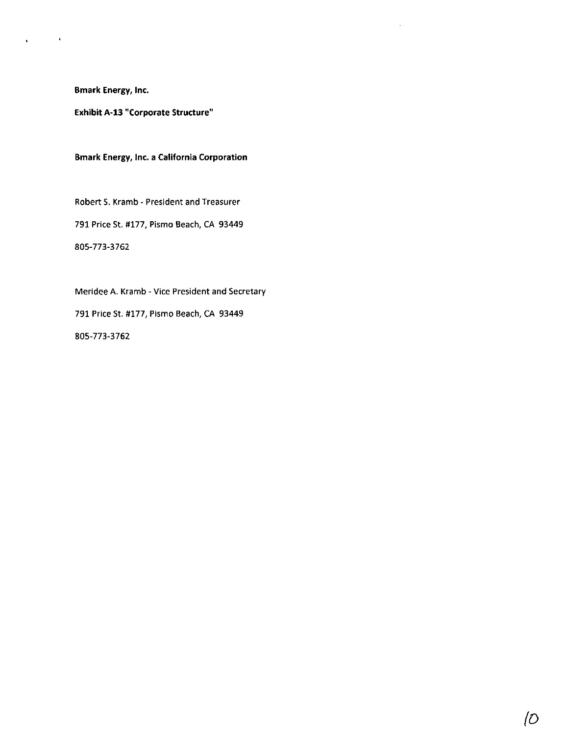$\bullet$ 

 $\bullet$ 

Exhibit A-13 "Corporate Structure"

Bmark Energy, Inc. a California Corporation

Robert S. Kramb - President and Treasurer 791 Price St. #177, Pismo Beach, CA 93449 805-773-3762

Meridee A. Kramb - Vice President and Secretary 791 Price St. #177, Pismo Beach, CA 93449 805-773-3762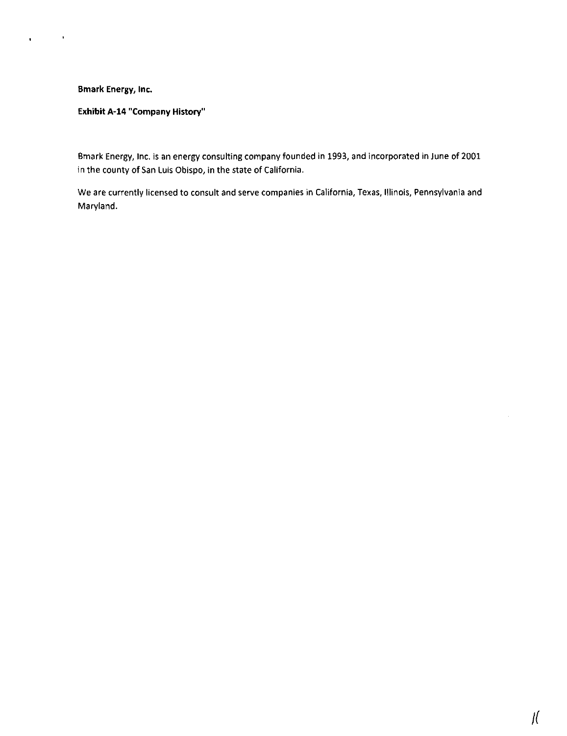$\sim 10^{11}$  km  $^{-1}$ 

 $\bullet$ 

# Exhibit A-14 "Company History"

Bmark Energy, Inc. is an energy consulting company founded in 1993, and incorporated in June of 2001 in the county of San Luis Obispo, in the state of California.

We are currently licensed to consult and serve companies in California, Texas, Illinois, Pennsylvania and Maryland.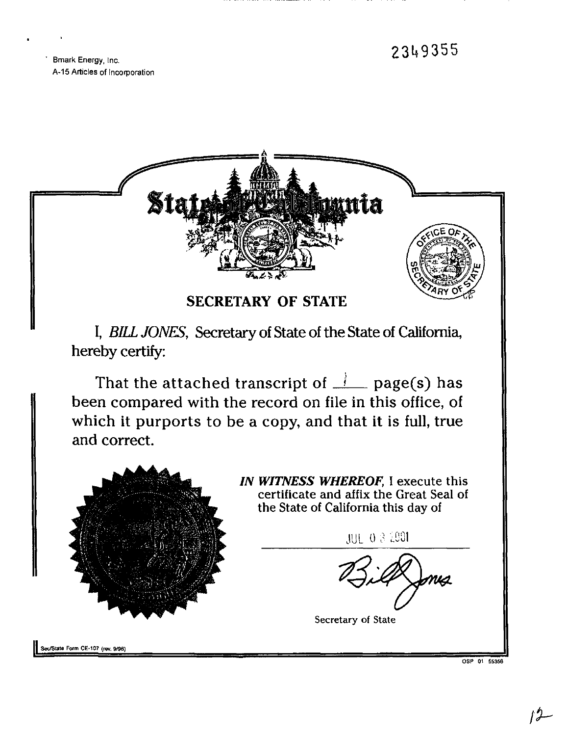23li9355

Bmark Energy, Inc. A-15 Articles of Incorporation



OSP 01 65358

 $\prime$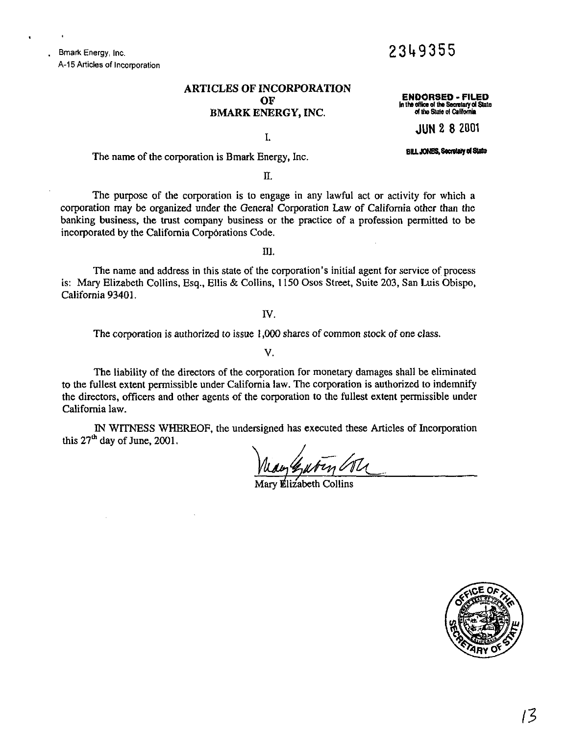Bmark Energy, Inc. A-15 Articles of Incorporation

# ARTICLES OF INCORPORATION OF BMARK ENERGY, INC.

ENDORSED - FILED in the office of the Secretary ot State ot the State o( CaWomia

2349355

I.

JUN 2 8 2001

The name of the corporation is Bmark Energy, Inc.

n.

The purpose of the corporation is to engage in any lawful act or activity for which a corporation may be organized under the General Corporation Law of California other than the banking business, the trust company business or the practice of a profession permitted to be incorporated by the California Corporations Code.

m.

The name and address in this state of the corporation's initial agent for service of process is: Mary Elizabeth Collins, Esq., Ellis & Collins, 1150 Osos Street, Suite 203, San Luis Obispo, California 93401.

IV.

The corporation is authorized to issue 1,000 shares of common stock of one class.

V.

The liability of the directors of the corporation for monetary damages shall be eliminated to the fullest extent permissible under California law. The corporation is authorized to indemnify the directors, officers and other agents of the corporation to the fullest extent permissible under California law.

IN WITNESS WHEREOF, the undersigned has executed these Articles of Incorporation this 27<sup>th</sup> day of June, 2001.

Mary Elizabeth Collins

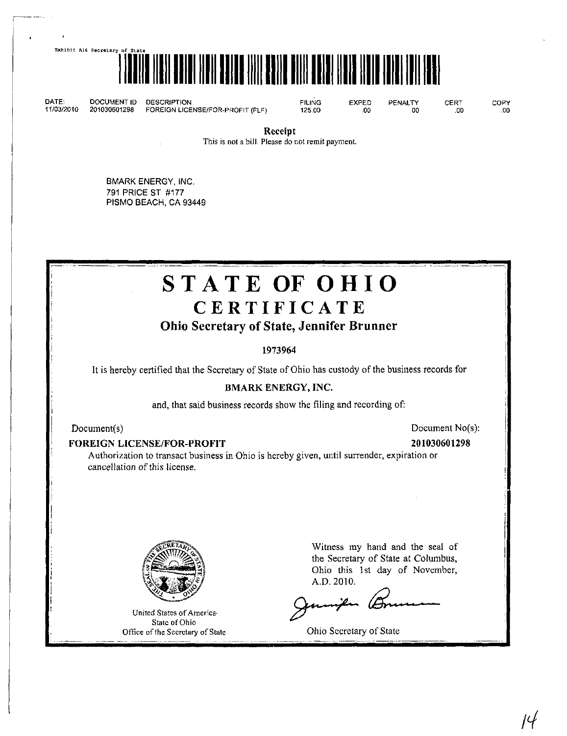Exhibit A16 Secretary of



DATE: DOCUMENT ID DESCRIPTION FILING EXPED PENALTY CERT COPY 11/03/2010 201030601298 FOREIGN LICENSE/FOR-PROFIT (FLF) 125.00 .00 .00 .00 .00

Receipt

This is not a bill. Please do not remit payment.

BMARK ENERGY, INC. 791 PRICE ST #177 PISMO BEACH, CA 93449

# STATE OF OHIO **CERTIFICATE**

# Ohio Secretary of State, Jennifer Brunner

1973964

It is hereby certified that the Secretary of State of Ohio has custody ofthe business records for

# BMARK ENERGY, INC.

and, that said business records show the filing and recording of:

# FOREIGN LICENSE/FOR-PROFIT 201030601298

# Document(s) Document No(s):

Authorization to transact business in Ohio is hereby given, until suirender, expiration or cancellation of this license.



United States of America' State of Ohio Office of the Secretary of State Witness my hand and the seal of the Secretary of State at Columbus, Ohio this 1st day of November, A.D.2010.

 $\ell$ 

Ohio Secretary of State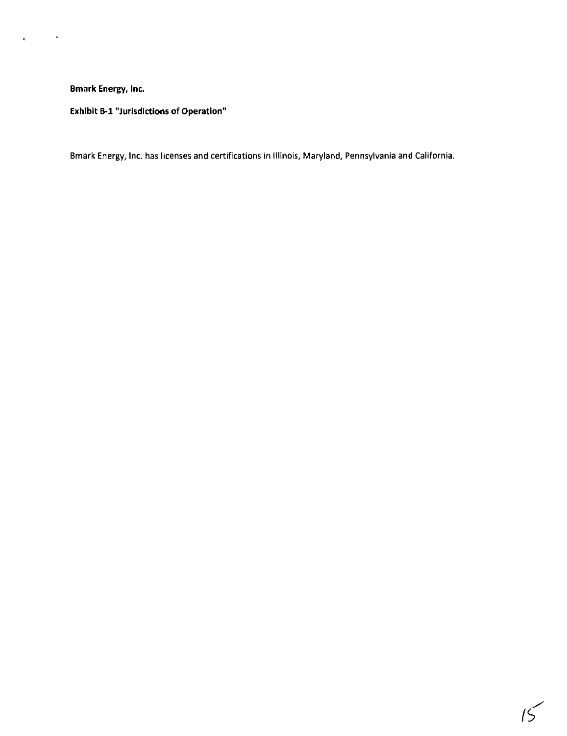$\langle \hat{\mathbf{r}} \rangle$ 

Exhibit B-l "Jurisdictions of Operation"

Bmark Energy, Inc. has licenses and certifications in Illinois, Maryland, Pennsylvania and California.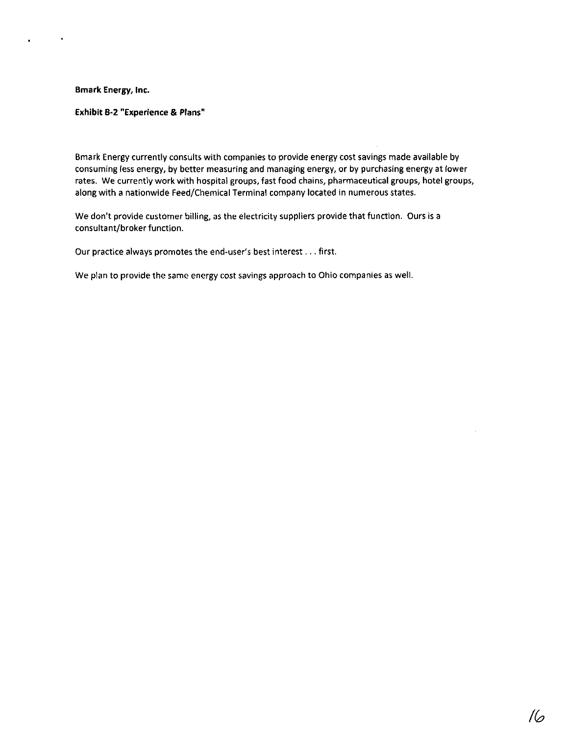$\bullet$ 

## Exhibit B-2 "Experience & Plans"

Bmark Energy currently consults with companies to provide energy cost savings made available by consuming less energy, by better measuring and managing energy, or by purchasing energy at lower rates. We currently work with hospital groups, fast food chains, pharmaceutical groups, hotel groups, along with a nationwide Feed/Chemical Terminal company located in numerous states.

We don't provide customer billing, as the electricity suppliers provide that function. Ours is a consultant/broker function.

Our practice always promotes the end-user's best interest... first.

We plan to provide the same energy cost savings approach to Ohio companies as well.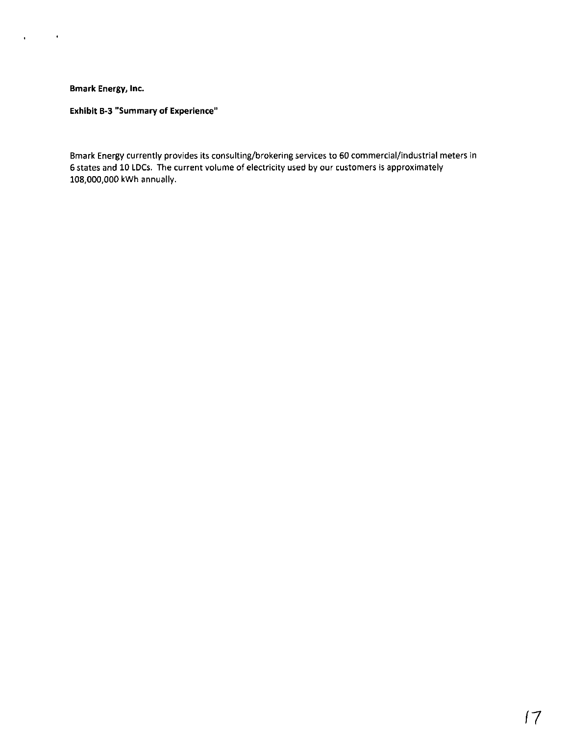$\mathbf{r} = \mathbf{r} \times \mathbf{r}$  .

Exhibit B-3 "Summary of Experience"

Bmark Energy currently provides its consulting/brokering services to 60 commercial/industrial meters in 6 states and 10 LDCs. The current volume of electricity used by our customers is approximately 108,000,000 kWh annually.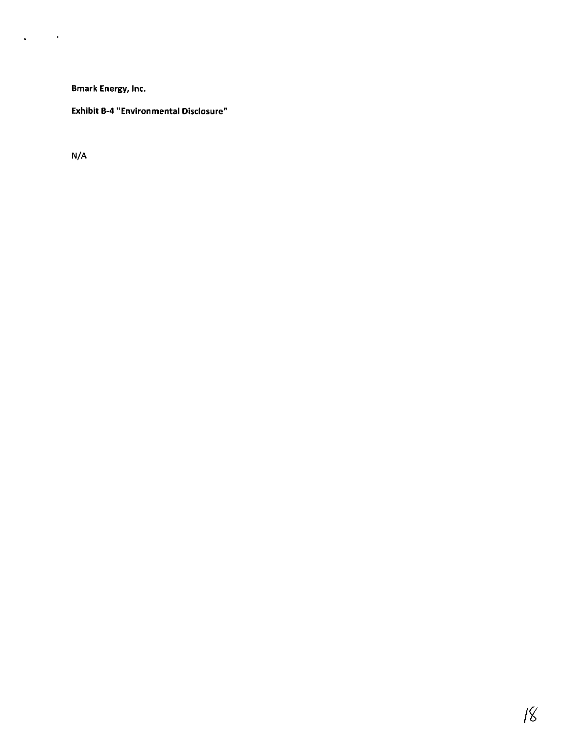# Exhibit B-4 "Environmental Disclosure"

N/A

 $\mathbf{q}^{\prime}$  and  $\mathbf{q}^{\prime}$  and  $\mathbf{q}^{\prime}$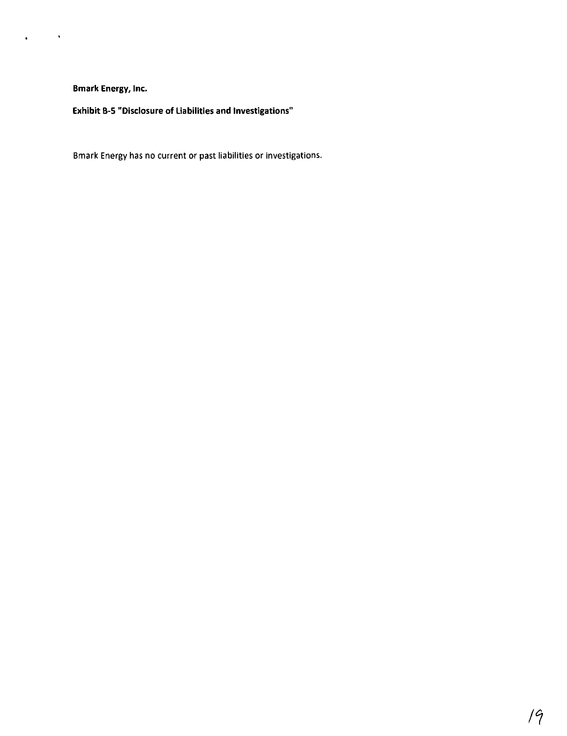$\mathbf{a} = \mathbf{a} \times \mathbf{a}$  .  $\mathbf{a} \times \mathbf{b}$ 

Exhibit B-5 "Disclosure of Liabilities and Investigations"

Bmark Energy has no current or past liabilities or investigations.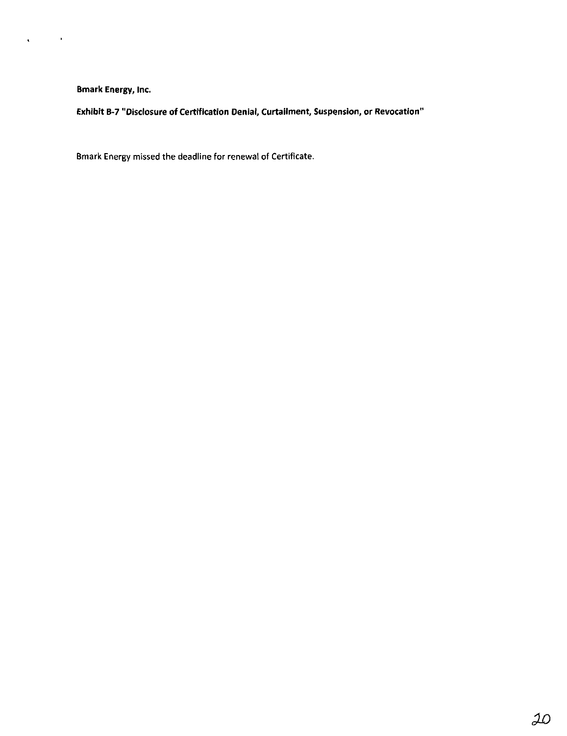$\alpha$  and  $\alpha$  .

 $\mathbf{v}^{\dagger}$ 

Exhibit B-7 "Disclosure of Certification Denial, Curtailment, Suspension, or Revocation"

Bmark Energy missed the deadline for renewal of Certificate.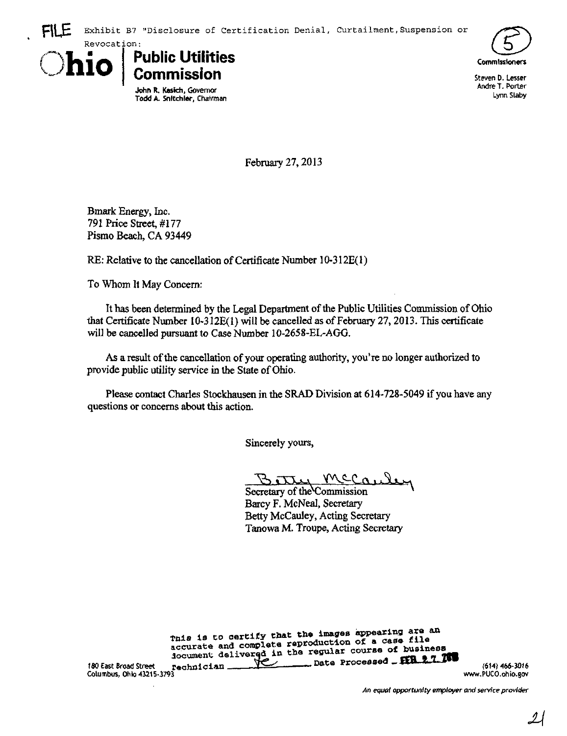





Steven D. Lesser Andre T. Porter Lynn Slaby

February 27,2013

Bmark Energy, Inc. 791 Price Street, #177 Pismo Beach, CA 93449

RE: Relative to the cancellation of Certificate Number 10-312E(1)

To Whom It May Concern:

It has been determined by the Legal Department of the Public Utilities Commission of Ohio that Certificate Number I0-312E(1) will be cancelled as of February 27,2013. This certificate will be cancelled pursuant to Case Number 10-2658-EL-AGG.

As a result of the cancellation of your operating authority, you're no longer authorized to provide public utility service in the State of Ohio.

Please contact Charles Stockhausen in the SRAD Division at 614-728-5049 if you have any questions or concerns about this action.

Sincerely yours,

 $Y^c$   $C^{\alpha}$ 

Secretary of the Commission Barcy F. McNeal, Secretary Betty McCauley, Acting Secretary Tanowa M. Troupe, Acting Secretary

Tnis is to certify that the images appearing are an accurate and complete reproduction of a case file locument delivered in the regular course of Dusiness 180 East Broad Street regularician  $\mathbb{R}$  - Date Processed  $\mathbb{R}$  East Broad Street regularician (614) 466-3016 180 East Broad Street rechnician 1990 East Broad Street rechnician 1990 East Broad Street (1995-3016<br>Columbus, Ohio 43215-3793 www.PUCO.ohio.gov

An equal opportunity employer and service provider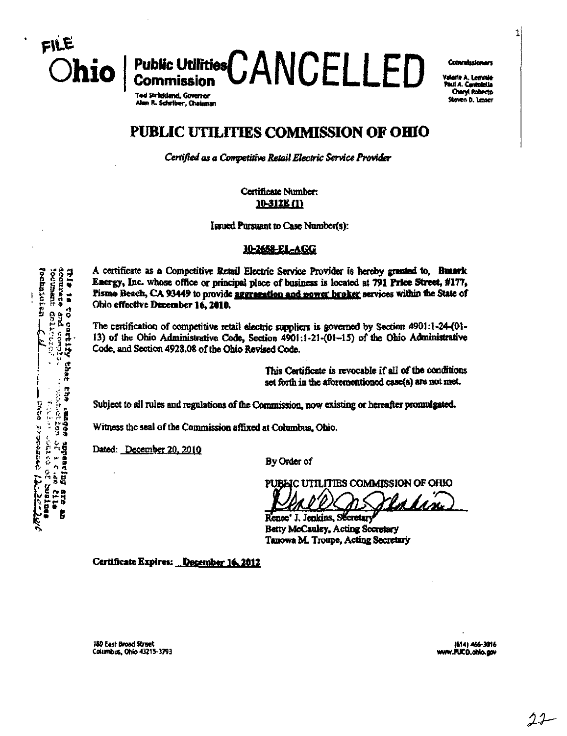1

Ohio | Public Utilities CANCELLED COMMERCIAL Valerie A. Lemmie .<br>Paul A. Contolella

T#dS»rtckl«nd.6ow«r tS!!2\*n''S  $\overline{\phantom{a}}$  and  $\overline{\phantom{a}}$  and  $\overline{\phantom{a}}$  . Ouimmn  $\overline{\phantom{a}}$  is the set of  $\overline{\phantom{a}}$  .

# PUBLIC UTILITIES COMMISSION OF OHIO

Certified as a Competitive Retail Electric Service Provider

Certificate Number:<br>10-312E (1)

Issued Pursuant to Case Number(s):

#### 10-2658-EL-AGG

A certificate as a Competitive Retail Electric Service Provider is hereby granted to, Bunark<br>  $\begin{array}{ll}\n\text{Bessel} & \text{Bessel} \\
\text{Bessel} & \text{Bessel} \\
\text{Bessel} & \text{Bessel} \\
\text{Cible} & \text{Cible} \\
\text{Dolic effective December 16, 2010.}\n\end{array}$ Energy, Inc. whose office or principal place of business is located at 791 Friee Street, #177,  $\frac{1}{\omega}$  Fismo Beach, CA 93449 to provide <u>aggregation and nower broker</u> services within the State of  $\frac{8}{3}$   $\frac{8}{9}$  Chio effective December 16, 2010.<br> $\frac{8}{9}$   $\frac{6}{9}$  The certification of competitive ret

If  $\begin{bmatrix} 16 & 0 \\ 0 & 14 \end{bmatrix}$  of the chion administrative retail electric suppliers is governed by Section 4901:1-24-(01-<br>  $\begin{bmatrix} 0 & 0 \\ 0 & 0 \end{bmatrix}$  of the Ohio Administrative Code, Section 4901:1-21-(01-15) of the Ohio 13) of the Ohio Administrative Code, Section  $4901:1-21-(01-15)$  of the Ohio Administrative Code, and Section 4928.08 of the Ohio Revised Code.<br>
Finis Cert<br>
set forth i

This Certificate is revocable if all of the conditions set forth in the aforementioned case(&) are not met.

 $B \cap \overline{B}$  Subject to all rules and regulations of the Commission, now existing or hereafter promulgated.<br>SECR

Dated: December 20. 2010

By Order of

PUBLIC UTILITIES COMMISSION OF OHIO

M.

the Electronic Contract Contract Contract Contract Contract Contract Contract Contract Contract Contract Contract Contract Contract Contract Contract Contract Contract Contract Contract Contract Contract Contract Contract Renee' J. Jenkins, Secretary Tanowa M. Troupe, Actiog Seoetary

Certificate Expires: December 16, 2012

180 East Broad Street (614) 466-3016<br>180 East Broad Street m M ^M-M1th Street m M ^M-M1th Street m M ^M-M1th Street m M ^M-M1th Street (614) 466-30<br>180 M ^M-M1th Street m M ^M-M1th Street m M ^M-M1th Street m M ^M-M1th Str Columbus, Ohio 43215-3793

 $22 -$ 

ISTATIST<br>Teleso pur<br>Altario ol •S: ••••• .-,• 5 Witness the seal of the Commission affixed at Columbus, Ohio.<br>
Single School: December 20, 2010<br>
By Order of<br>
PUBLIC UTILITII<br>
PUBLIC UTILITII<br>
PUBLIC UTILITII<br>
PUBLIC UTILITII<br>
PUBLIC UTILITII ã

FILE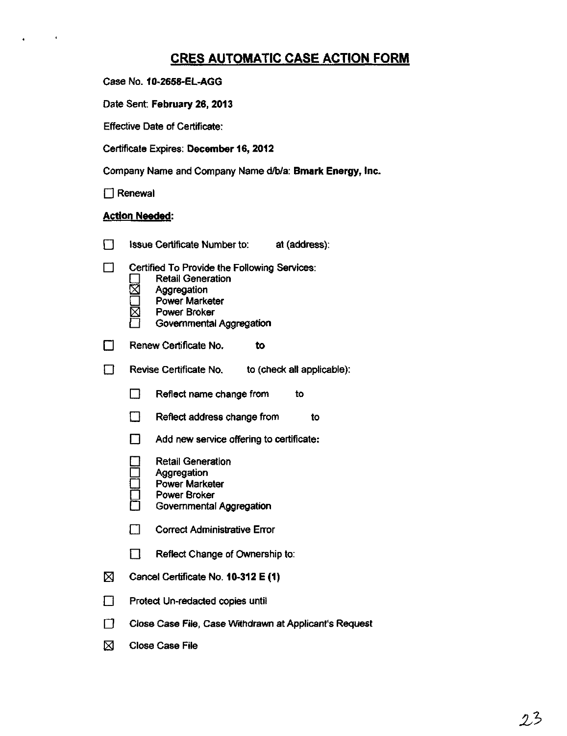# CRES AUTOMATIC CASE ACTION FORM

|  |  | Case No. 10-2658-EL-AGG |
|--|--|-------------------------|
|--|--|-------------------------|

Date Sent: February 26, 2013

Effective Date of Certificate:

Certificate Expires: December 16, 2012

Company Name and Company Name d/b/a: Bmark Energy, Inc.

□ Renewal

 $\sim$  10  $\pm$ 

# **Action Needed:**

|   | Issue Certificate Number to:<br>at (address):                                                                                                                |  |  |  |  |
|---|--------------------------------------------------------------------------------------------------------------------------------------------------------------|--|--|--|--|
|   | Certified To Provide the Following Services:<br><b>Retail Generation</b><br>Aggregation<br><b>Power Marketer</b><br>Power Broker<br>Governmental Aggregation |  |  |  |  |
|   | Renew Certificate No.<br>to                                                                                                                                  |  |  |  |  |
|   | Revise Certificate No.<br>to (check all applicable):                                                                                                         |  |  |  |  |
|   | Reflect name change from<br>to                                                                                                                               |  |  |  |  |
|   | Reflect address change from<br>to                                                                                                                            |  |  |  |  |
|   | Add new service offering to certificate:                                                                                                                     |  |  |  |  |
|   | <b>Retail Generation</b><br>Aggregation<br><b>Power Marketer</b><br>Power Broker<br>Governmental Aggregation                                                 |  |  |  |  |
|   | <b>Correct Administrative Error</b>                                                                                                                          |  |  |  |  |
|   | Reflect Change of Ownership to:                                                                                                                              |  |  |  |  |
| 図 | Cancel Certificate No. 10-312 E (1)                                                                                                                          |  |  |  |  |
|   | Protect Un-redacted copies until                                                                                                                             |  |  |  |  |
|   | Close Case File, Case Withdrawn at Applicant's Request                                                                                                       |  |  |  |  |
| ⊠ | <b>Close Case File</b>                                                                                                                                       |  |  |  |  |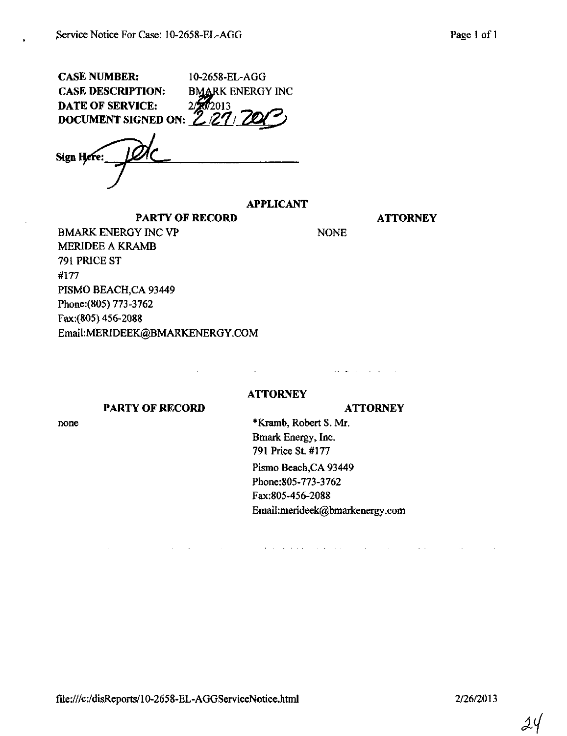| <b>CASE NUMBER:</b>                                     | 10-2658-EL-AGG          |
|---------------------------------------------------------|-------------------------|
| <b>CASE DESCRIPTION:</b>                                | <b>BMARK ENERGY INC</b> |
|                                                         |                         |
| DATE OF SERVICE: 2/2013<br>DOCUMENT SIGNED ON: 2/27/200 |                         |

Sign Here:

# APPLICANT

PARTY OF RECORD ATTORNEY

BMARK ENERGY INC VP NONE MERIDEE A KRAMB 791 PRICE ST #177 PISMO BEACH,CA 93449 Phone:(805) 773-3762 Fax:(805)456-2088 Email[:MERIDEEK@BMARKENERGY.COM](mailto:MERIDEEK@BMARKENERGY.COM) 

# **ATTORNEY**

 $\sim 10^{-11}$ 

#### PARTY OF RECORD ATTORNEY

and the company of

 $\sim 10^{11}$  km s  $^{-1}$ 

 $\mathcal{A}(\mathcal{A})$  , and  $\mathcal{A}(\mathcal{A})$  , and  $\mathcal{A}(\mathcal{A})$ 

none \*Kramb, Robert S. Mr. Bmark Energy, Inc. 791 Price St. #177 Pismo Beach,CA 93449 Phone:805-773-3762 Fax:805-456-2088 Email[:merideek@bmarkenergy.com](mailto:merideek@bmarkenergy.com) 

**Contractor** 

and the company of

**Service** 

 $24$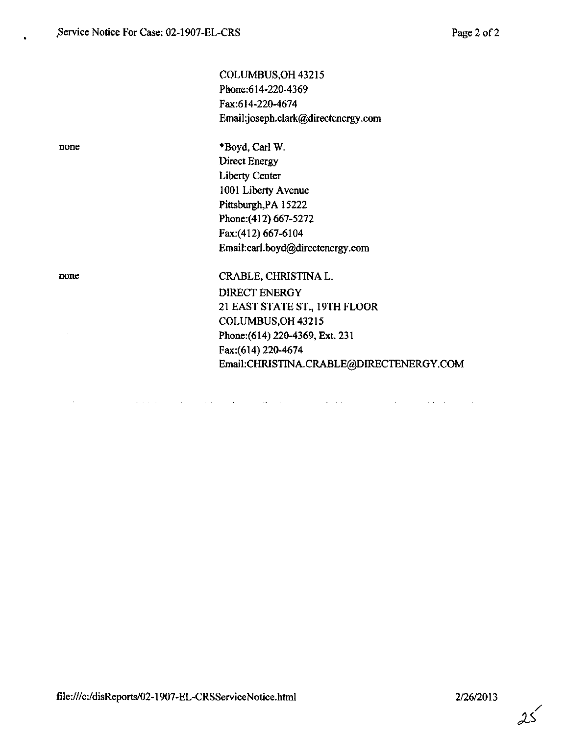COLUMBUS,OH 43215 Phone:614-220-4369 Fax:614-220-4674 Email:joseph.clark@directenergy.com

 $\bar{z}$ 

none \*Boyd, Carl W. Direct Energy Liberty Center 1001 Liberty Avenue Pittsburgh,PA 15222 Phone: (412) 667-5272 Fax:(412) 667-6104 Email:[carl.boyd@directenergy.com](mailto:carl.boyd@directenergy.com) 

 $\mathcal{L}^{\text{max}}(\mathcal{L}^{\text{max}})$  and  $\mathcal{L}^{\text{max}}(\mathcal{L}^{\text{max}})$ 

none CRABLE, CHRISTINA L. DIRECT ENERGY 21 EAST STATE ST., 19TH FLOOR COLUMBUS.OH 43215 Phone:(614) 220-4369, Ext. 231 Fax:(614)220-4674 Email:[CHRISTINA.CRABLE@DIRECTENERGY.COM](mailto:CHRISTINA.CRABLE@DIRECTENERGY.COM) 

 $\Delta \sim 10^{11}$  km  $^{-1}$ 

 $\mathcal{L}$ 

 $\alpha$  , and  $\alpha$  , and  $\alpha$  , and  $\alpha$ 

 $\sim 10^{11}$  km s  $^{-1}$ 

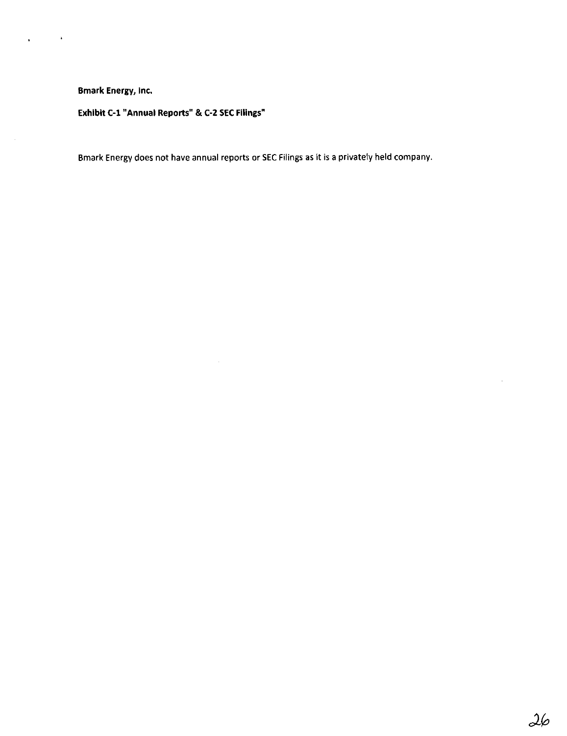$\sim 10^{11}$  km

 $\mathbf{r}^{\prime}$ 

Exhibit C-l "Annual Reports" & C-2 SEC Filings"

Bmark Energy does not have annual reports or SEC Filings as it is a privately held company.

 $\sim$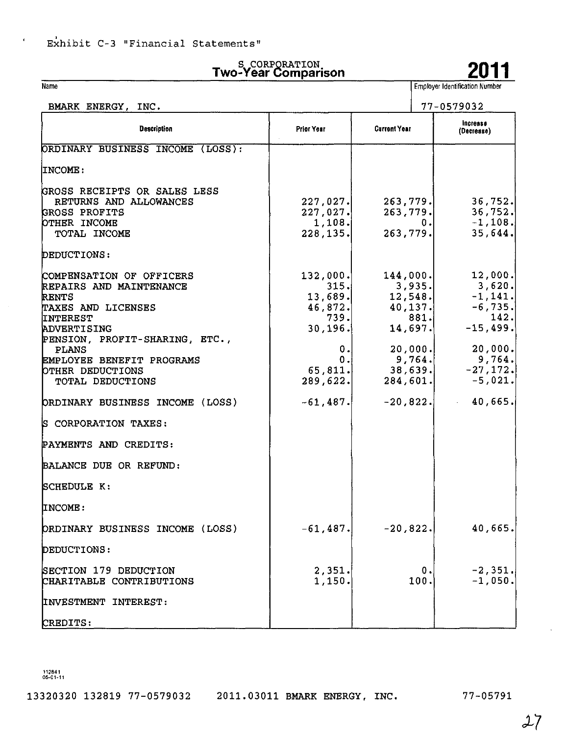Name

 $\epsilon$ 

# Two-Year Comparison 2011

Employer Identification Number

| BMARK ENERGY, INC.                                                                                                                                                                                                                                                                                                                     |                                                                                       |                                     | 77-0579032                                                                                                                                                                                                                                                                                                                                                                      |  |
|----------------------------------------------------------------------------------------------------------------------------------------------------------------------------------------------------------------------------------------------------------------------------------------------------------------------------------------|---------------------------------------------------------------------------------------|-------------------------------------|---------------------------------------------------------------------------------------------------------------------------------------------------------------------------------------------------------------------------------------------------------------------------------------------------------------------------------------------------------------------------------|--|
| <b>Description</b>                                                                                                                                                                                                                                                                                                                     | Prior Year                                                                            | <b>Current Year</b>                 | Increase<br>(Decrease)                                                                                                                                                                                                                                                                                                                                                          |  |
| ORDINARY BUSINESS INCOME (LOSS):                                                                                                                                                                                                                                                                                                       |                                                                                       |                                     |                                                                                                                                                                                                                                                                                                                                                                                 |  |
| INCOME:                                                                                                                                                                                                                                                                                                                                |                                                                                       |                                     |                                                                                                                                                                                                                                                                                                                                                                                 |  |
| GROSS RECEIPTS OR SALES LESS<br>RETURNS AND ALLOWANCES<br>GROSS PROFITS<br>OTHER INCOME<br>TOTAL INCOME<br>DEDUCTIONS:                                                                                                                                                                                                                 | 227,027.<br>227,027.<br>1, 108.<br>228, 135.                                          | 263,779.                            | $263,779.$ 36,752.<br>$263,779.$ 36,752.<br>$-1,108.$<br>0.1<br>35,644.                                                                                                                                                                                                                                                                                                         |  |
| COMPENSATION OF OFFICERS<br>REPAIRS AND MAINTENANCE<br><b>RENTS</b><br>TAXES AND LICENSES<br><b>INTEREST</b><br>ADVERTISING<br>PENSION, PROFIT-SHARING, ETC.,<br><b>PLANS</b><br>EMPLOYEE BENEFIT PROGRAMS<br>OTHER DEDUCTIONS<br>TOTAL DEDUCTIONS<br>ORDINARY BUSINESS INCOME (LOSS)<br>S CORPORATION TAXES:<br>PAYMENTS AND CREDITS: | 132,000.<br>315.<br>46,872.<br>739.<br>30, 196.<br>0.<br>0.<br>289,622.<br>$-61, 487$ | 3,935.<br>881.<br>14,697.<br>9,764. | $144,000.$ 12,000.<br>3,620.<br>$13,689.$ $12,548.$ $-1,141.$<br>40, 137.<br>$-6, 735.$<br>142.<br>$-15,499.$<br>$\begin{array}{c c} 20,000 \end{array}$ , $\begin{array}{c} 20,000 \end{array}$ , $\begin{array}{c} 20,000 \end{array}$ , $\begin{array}{c} 9,764 \end{array}$<br>9,764.<br>$65, 811.$ $38, 639.$ $-27, 172.$<br>$284,601.$ $-5,021.$<br>40,665.<br>$-20,822.$ |  |
| BALANCE DUE OR REFUND:                                                                                                                                                                                                                                                                                                                 |                                                                                       |                                     |                                                                                                                                                                                                                                                                                                                                                                                 |  |
| SCHEDULE K:                                                                                                                                                                                                                                                                                                                            |                                                                                       |                                     |                                                                                                                                                                                                                                                                                                                                                                                 |  |
| INCOME:                                                                                                                                                                                                                                                                                                                                |                                                                                       |                                     |                                                                                                                                                                                                                                                                                                                                                                                 |  |
| ORDINARY BUSINESS INCOME (LOSS)                                                                                                                                                                                                                                                                                                        | $-61,487.$                                                                            | $-20,822.$                          | 40,665.                                                                                                                                                                                                                                                                                                                                                                         |  |
| DEDUCTIONS:                                                                                                                                                                                                                                                                                                                            |                                                                                       |                                     |                                                                                                                                                                                                                                                                                                                                                                                 |  |
| SECTION 179 DEDUCTION<br>CHARITABLE CONTRIBUTIONS                                                                                                                                                                                                                                                                                      | 2.351.<br>1,150.                                                                      | 100.                                | $-2,351.$<br>ο.<br>$-1,050.$                                                                                                                                                                                                                                                                                                                                                    |  |
| INVESTMENT INTEREST:                                                                                                                                                                                                                                                                                                                   |                                                                                       |                                     |                                                                                                                                                                                                                                                                                                                                                                                 |  |
| CREDITS:                                                                                                                                                                                                                                                                                                                               |                                                                                       |                                     |                                                                                                                                                                                                                                                                                                                                                                                 |  |

112841 05-01-11

13320320 132819 77-0579032 2011.03011 BMARK ENERGY, INC. 77-05791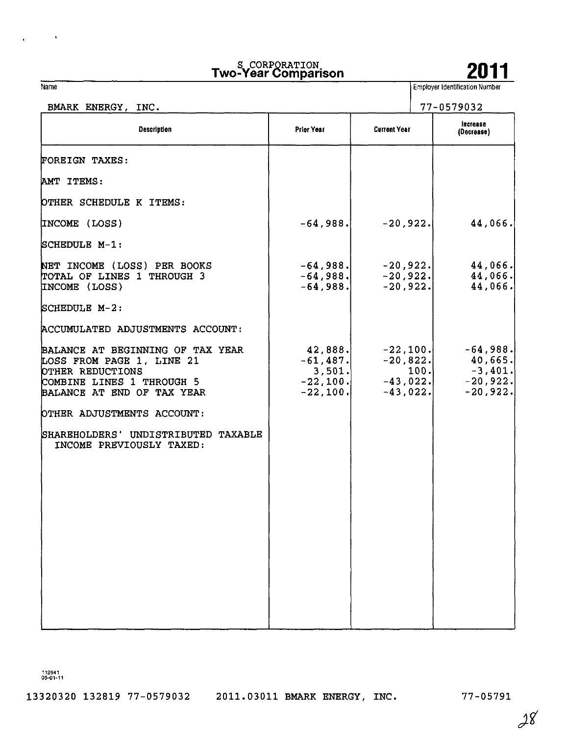| s CORPORATION<br>Two-Year Comparison |  |  |  | 2011 |  |
|--------------------------------------|--|--|--|------|--|
|                                      |  |  |  |      |  |



**Employer Identification Number** 

| BMARK ENERGY, INC.                                                                                                                           |                                                              |                                                       | 77-0579032                                                             |  |  |  |
|----------------------------------------------------------------------------------------------------------------------------------------------|--------------------------------------------------------------|-------------------------------------------------------|------------------------------------------------------------------------|--|--|--|
| Description                                                                                                                                  | Prior Year                                                   | <b>Current Year</b>                                   | Increase<br>(Decrease)                                                 |  |  |  |
| FOREIGN TAXES:                                                                                                                               |                                                              |                                                       |                                                                        |  |  |  |
| AMT ITEMS:                                                                                                                                   |                                                              |                                                       |                                                                        |  |  |  |
| OTHER SCHEDULE K ITEMS:                                                                                                                      |                                                              |                                                       |                                                                        |  |  |  |
| INCOME (LOSS)                                                                                                                                | $-64.988$                                                    | $-20,922.$                                            | 44,066.                                                                |  |  |  |
| SCHEDULE M-1:                                                                                                                                |                                                              |                                                       |                                                                        |  |  |  |
| NET INCOME (LOSS) PER BOOKS<br>TOTAL OF LINES 1 THROUGH 3<br>INCOME (LOSS)                                                                   | $-64,988.$<br>$-64,988.$<br>$-64,988.$                       | $-20,922.$<br>$-20,922.$<br>$-20,922.$                | 44,066.<br>44,066.<br>44,066.                                          |  |  |  |
| SCHEDULE M-2:                                                                                                                                |                                                              |                                                       |                                                                        |  |  |  |
| ACCUMULATED ADJUSTMENTS ACCOUNT:                                                                                                             |                                                              |                                                       |                                                                        |  |  |  |
| BALANCE AT BEGINNING OF TAX YEAR<br>LOSS FROM PAGE 1, LINE 21<br>OTHER REDUCTIONS<br>COMBINE LINES 1 THROUGH 5<br>BALANCE AT END OF TAX YEAR | 42,888.<br>$-61,487.$<br>3,501.<br>$-22, 100.$<br>$-22, 100$ | $-22,100.$<br>$-20,822.$<br>$-43,022.$<br>$-43,022.]$ | $-64,988.$<br>40,665.<br>$-3,401.$<br>100.<br>$-20,922.$<br>$-20,922.$ |  |  |  |
| OTHER ADJUSTMENTS ACCOUNT:                                                                                                                   |                                                              |                                                       |                                                                        |  |  |  |
| SHAREHOLDERS' UNDISTRIBUTED TAXABLE<br>INCOME PREVIOUSLY TAXED:                                                                              |                                                              |                                                       |                                                                        |  |  |  |
|                                                                                                                                              |                                                              |                                                       |                                                                        |  |  |  |
|                                                                                                                                              |                                                              |                                                       |                                                                        |  |  |  |
|                                                                                                                                              |                                                              |                                                       |                                                                        |  |  |  |
|                                                                                                                                              |                                                              |                                                       |                                                                        |  |  |  |
|                                                                                                                                              |                                                              |                                                       |                                                                        |  |  |  |
|                                                                                                                                              |                                                              |                                                       |                                                                        |  |  |  |
|                                                                                                                                              |                                                              |                                                       |                                                                        |  |  |  |

112841 05-01-11

Name

 $\mathcal{L}_{\rm{max}}$  and

 $\bar{\star}$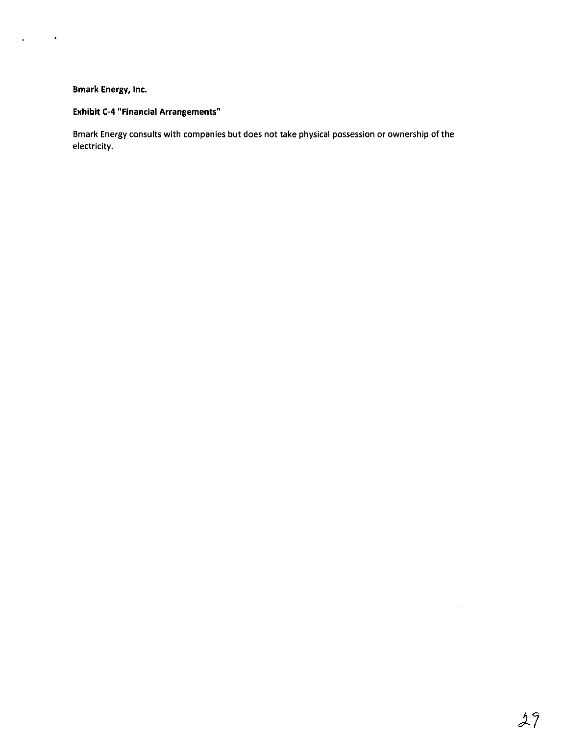$\sim$   $\sim$ 

 $\sim$ 

 $\mathbf{r}$ 

# Exhibit C-4 "Financial Arrangements"

Bmark Energy consults with companies but does not take physical possession or ownership of the electricity.

 $\hat{\theta}$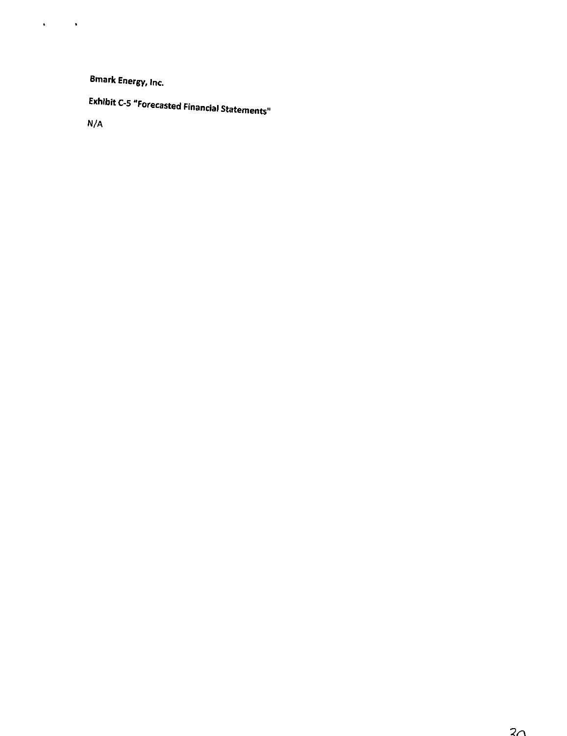Exhibit C-5 "Forecasted Financial Statements"

N/A

 $\mathbf{C}^{(1)}$  and  $\mathbf{C}^{(2)}$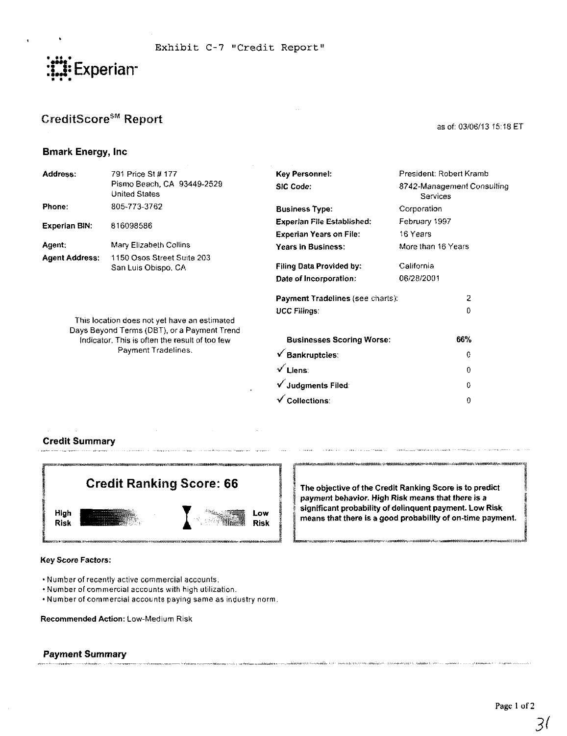

# CreditScore<sup>§M</sup> Report

#### as of: 03/06/13 15:18 ET

0  $\theta$ 

# Bmark Energy, Inc

| Address:              | 791 Price St # 177                                                                          | Key Personnel:                          | President: Robert Kramb                       |  |  |
|-----------------------|---------------------------------------------------------------------------------------------|-----------------------------------------|-----------------------------------------------|--|--|
|                       | Pismo Beach, CA 93449-2529<br><b>United States</b>                                          | <b>SIC Code:</b>                        | 8742-Management Consulting<br><b>Services</b> |  |  |
| Phone:                | 805-773-3762                                                                                | <b>Business Type:</b>                   | Corporation                                   |  |  |
| <b>Experian BIN:</b>  | 816098586                                                                                   | <b>Experian File Established:</b>       | February 1997                                 |  |  |
|                       |                                                                                             | <b>Experian Years on File:</b>          | 16 Years                                      |  |  |
| Agent:                | Mary Elizabeth Collins                                                                      | <b>Years in Business:</b>               | More than 16 Years                            |  |  |
| <b>Agent Address:</b> | 1150 Osos Street Suite 203<br>San Luís Obispo, CA                                           | <b>Filing Data Provided by:</b>         | California                                    |  |  |
|                       |                                                                                             | Date of Incorporation:                  | 06/28/2001                                    |  |  |
|                       |                                                                                             | <b>Payment Tradelines (see charts):</b> | 2                                             |  |  |
|                       |                                                                                             | <b>UCC Filings:</b>                     | 0                                             |  |  |
|                       | This location does not yet have an estimated<br>Days Beyond Terms (DBT), or a Payment Trend |                                         |                                               |  |  |
|                       | Indicator. This is often the result of too few                                              | <b>Businesses Scoring Worse:</b>        | 66%                                           |  |  |
| Payment Tradelines.   |                                                                                             | <b>Bankruptcies:</b>                    | 0                                             |  |  |
|                       |                                                                                             | $\sqrt{}$ Liens:                        | 0                                             |  |  |

v^ Judgments Filed:  $\checkmark$  Collections:

Credit Summary



Key Score Factors:

- Number of recently active commercial accounts.
- Number of commercial accounts with high utilization.
- Number of commercial accounts paying same as industry norm.

Recommended Action: Low-Medium Risk

# Payment Summary

The objective of the Credit Ranking Score is to predict payment behavior. High Risk means that there is a significant probability of delinquent payment. Low Risk means that there is a good probability of on-time payment.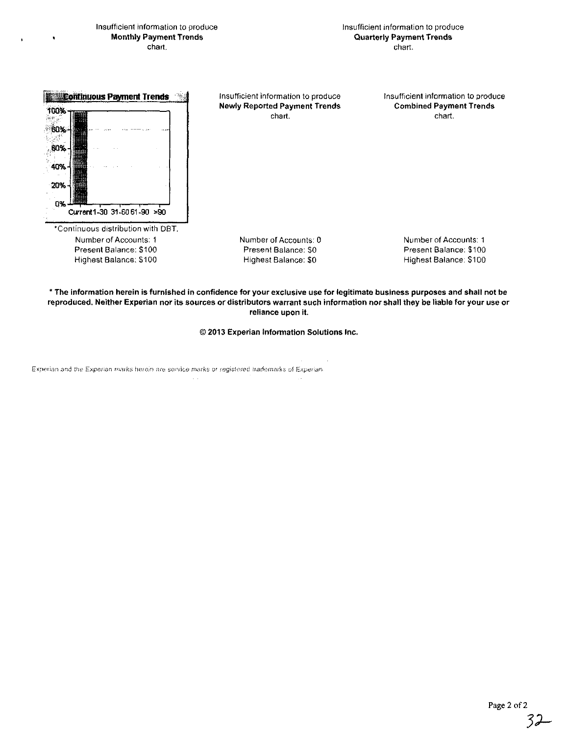Insufficient information to produce Monthly Payment Trends chart.

Insufficient information to produce Quarterly Payment Trends chart.



Insufficient information to produce Newly Reported Payment Trends chart.

Insufficient information to produce Combined Payment Trends chart.

Number of Accounts: 0 Present Balance: SO Highest Balance: SO

Number of Accounts: 1 Present Balance: \$100 Highest Balance: \$100

\* The information herein is furnished in confidence for your exclusive use for legitimate business purposes and shall not be reproduced. Neither Experian nor its sources or distributors warrant such information nor shall they be liable for your use or reliance upon it.

© 2013 Experian Information Solutions Inc.

Experian and the Experian marks herein are service marks or registered trademarks of Experian.

 $\sim$   $\sim$ 

32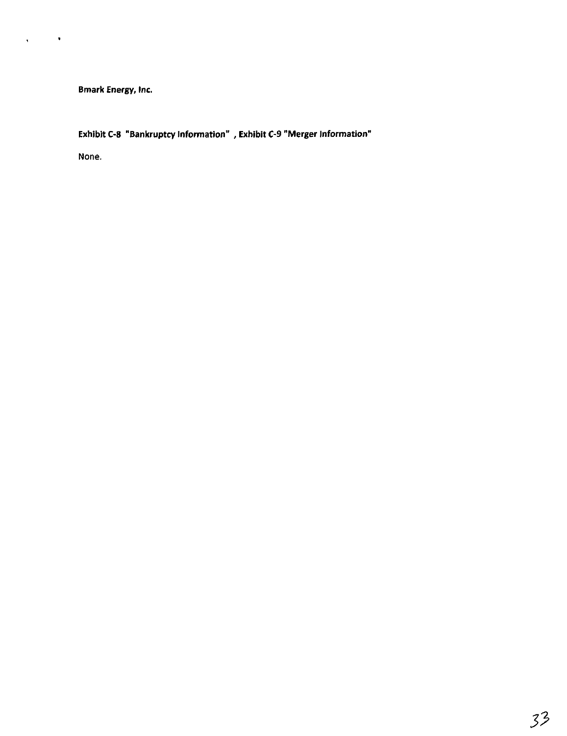Exhibit C-8 "Bankruptcy Information" , Exhibit C-9 "Merger Information"

None.

 $\hat{\textbf{v}}$ 

 $\bar{q}$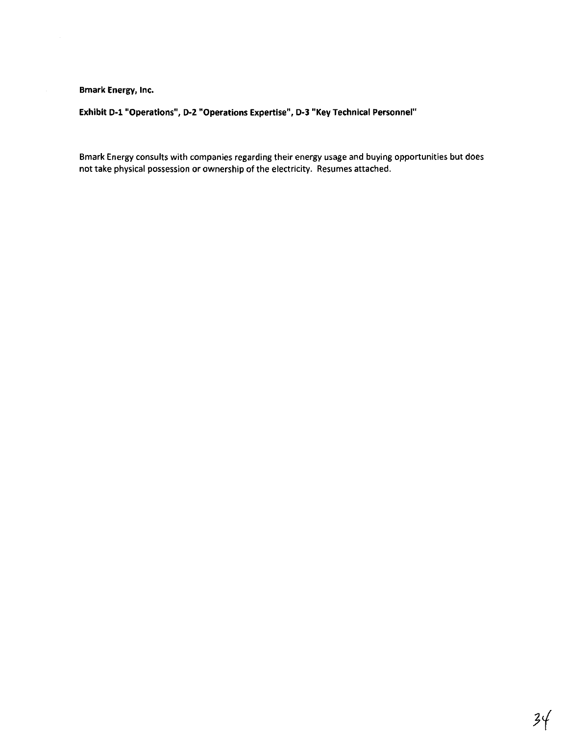$\sim$   $\sim$ 

Exhibit D-1 "Operations", D-2 "Operations Expertise", D-3 "Key Technical Personnel"

Bmark Energy consults with companies regarding their energy usage and buying opportunities but does not take physical possession or ownership of the electricity. Resumes attached.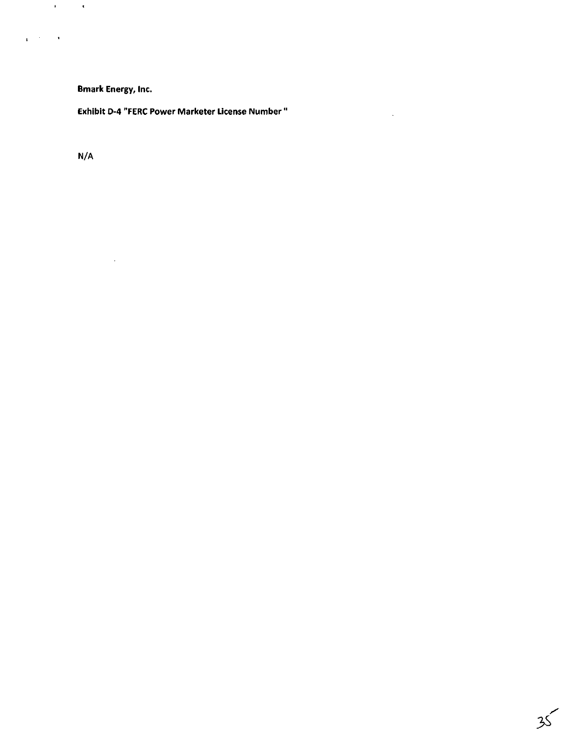$\sim$   $\sim$ 

Exhibit D-4 "FERC Power Marketer License Number "

 $\mathcal{L}^{\text{max}}_{\text{max}}$  ,  $\mathcal{L}^{\text{max}}_{\text{max}}$ 

N/A

 $\mathcal{L}^{\text{max}}_{\text{max}}$  and  $\mathcal{L}^{\text{max}}_{\text{max}}$ 

 $\mathbf{q} = \mathbf{q}^T \mathbf{q}$  ,  $\mathbf{q} = \mathbf{q}$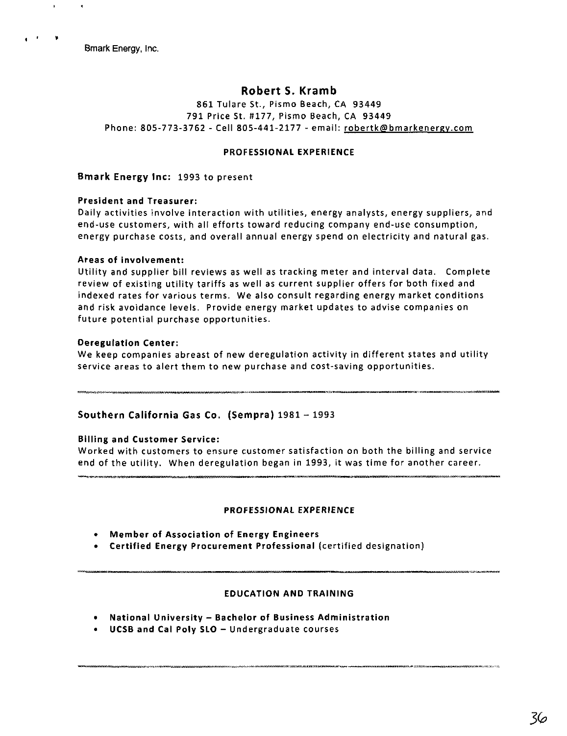$\mathcal{A}$ 

# Robert S. Kramb

861 Tulare St., Pismo Beach, CA 93449 791 Price St. #177, Pismo Beach, CA 93449 Phone: 805-773-3762 - Cell 805-441-2177 - email: robertk@bmarkenergy.com

## PROFESSIONAL EXPERIENCE

Bmark Energy Inc: 1993 to present

# President and Treasurer:

Daily activities involve interaction with utilities, energy analysts, energy suppliers, and end-use customers, with all efforts toward reducing company end-use consumption, energy purchase costs, and overall annual energy spend on electricity and natural gas.

# Areas of involvement:

Utility and supplier bill reviews as well as tracking meter and interval data. Complete review of existing utility tariffs as well as current supplier offers for both fixed and indexed rates for various terms. We also consult regarding energy market conditions and risk avoidance levels. Provide energy market updates to advise companies on future potential purchase opportunities.

# Deregulation Center:

We keep companies abreast of new deregulation activity in different states and utility service areas to alert them to new purchase and cost-saving opportunities.

# Southern California Gas Co. (Sempra)  $1981 - 1993$

#### Billing and Customer Service:

Worked with customers to ensure customer satisfaction on both the billing and service end of the utility. When deregulation began in 1993, it was time for another career.

#### PROFESSIONAL EXPERIENCE

- Member of Association of Energy Engineers
- Certified Energy Procurement Professional (certified designation)

# EDUCATION AND TRAINING

- National University Bachelor of Business Administration
- UCSB and Cal Poly SLO Undergraduate courses

36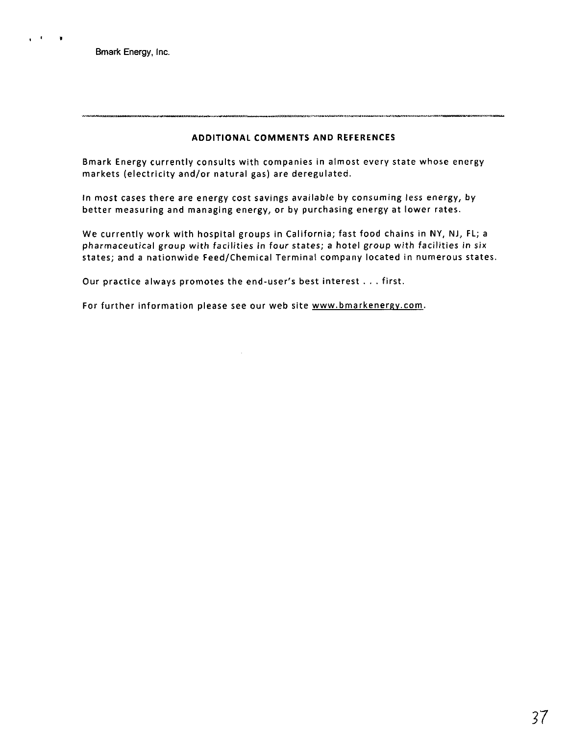$\mathbf{r}=\mathbf{r}$  .  $\bullet$ 

# ADDITIONAL COMMENTS AND REFERENCES

Bmark Energy currently consults with companies in almost every state whose energy markets (electricity and/or natural gas) are deregulated.

in most cases there are energy cost savings available by consuming less energy, by better measuring and managing energy, or by purchasing energy at lower rates.

We currently work with hospital groups in California; fast food chains in NY, NJ, FL; a pharmaceutical group with facilities in four states; a hotel group with facilities in six states; and a nationwide Feed/Chemical Terminal company located in numerous states.

Our practice always promotes the end-user's best interest . . . first.

 $\sim$ 

For further information please see our web site www.bmarkenergy.com.